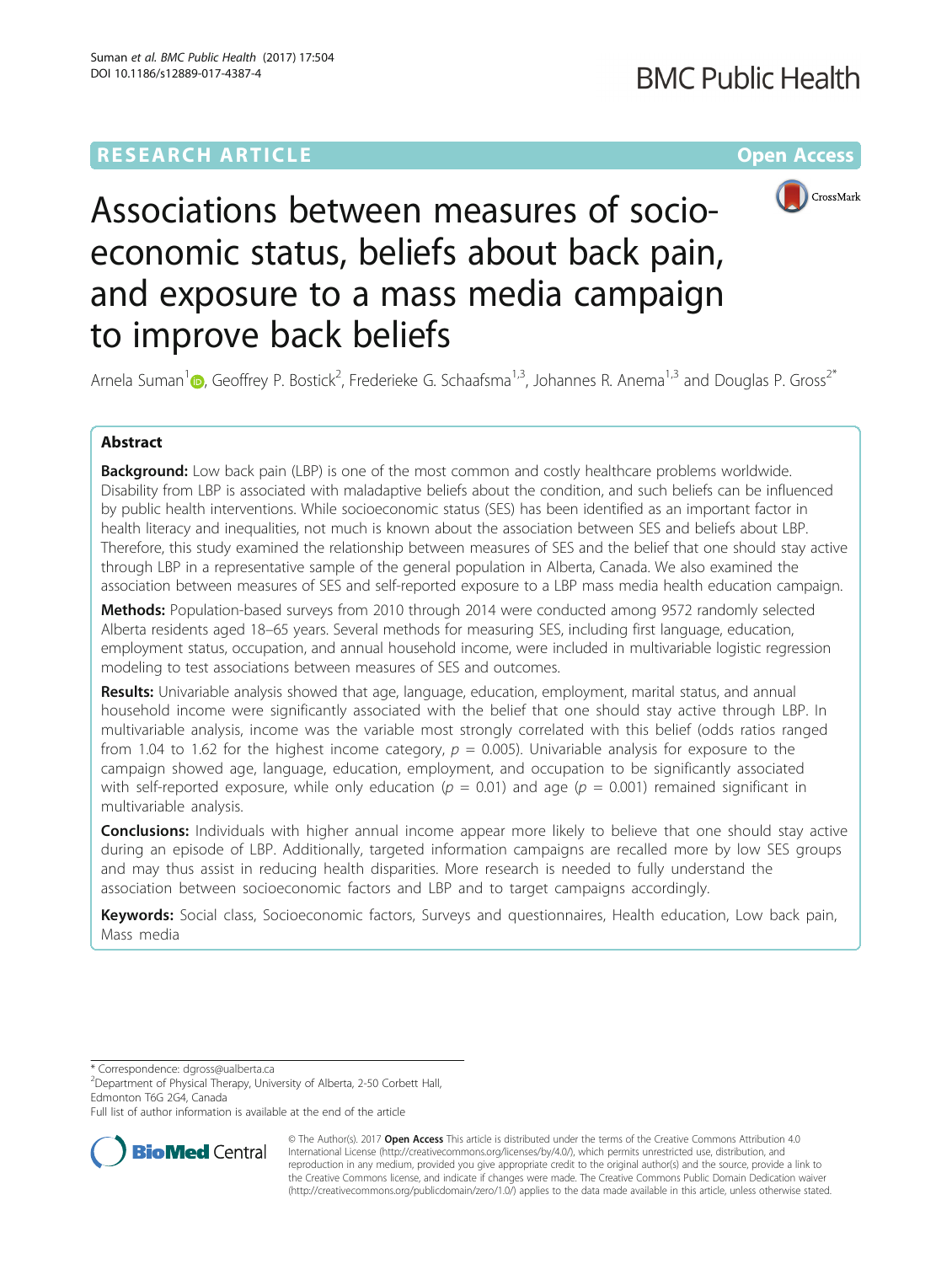# **RESEARCH ARTICLE Example 2014 12:30 The Community Community Community Community Community Community Community**



Associations between measures of socioeconomic status, beliefs about back pain, and exposure to a mass media campaign to improve back beliefs

Arnela Suman<sup>[1](http://orcid.org/0000-0003-0656-490X)</sup> (b), Geoffrey P. Bostick<sup>2</sup>, Frederieke G. Schaafsma<sup>1,3</sup>, Johannes R. Anema<sup>1,3</sup> and Douglas P. Gross<sup>2\*</sup>

# Abstract

**Background:** Low back pain (LBP) is one of the most common and costly healthcare problems worldwide. Disability from LBP is associated with maladaptive beliefs about the condition, and such beliefs can be influenced by public health interventions. While socioeconomic status (SES) has been identified as an important factor in health literacy and inequalities, not much is known about the association between SES and beliefs about LBP. Therefore, this study examined the relationship between measures of SES and the belief that one should stay active through LBP in a representative sample of the general population in Alberta, Canada. We also examined the association between measures of SES and self-reported exposure to a LBP mass media health education campaign.

Methods: Population-based surveys from 2010 through 2014 were conducted among 9572 randomly selected Alberta residents aged 18–65 years. Several methods for measuring SES, including first language, education, employment status, occupation, and annual household income, were included in multivariable logistic regression modeling to test associations between measures of SES and outcomes.

Results: Univariable analysis showed that age, language, education, employment, marital status, and annual household income were significantly associated with the belief that one should stay active through LBP. In multivariable analysis, income was the variable most strongly correlated with this belief (odds ratios ranged from 1.04 to 1.62 for the highest income category,  $p = 0.005$ ). Univariable analysis for exposure to the campaign showed age, language, education, employment, and occupation to be significantly associated with self-reported exposure, while only education ( $p = 0.01$ ) and age ( $p = 0.001$ ) remained significant in multivariable analysis.

**Conclusions:** Individuals with higher annual income appear more likely to believe that one should stay active during an episode of LBP. Additionally, targeted information campaigns are recalled more by low SES groups and may thus assist in reducing health disparities. More research is needed to fully understand the association between socioeconomic factors and LBP and to target campaigns accordingly.

Keywords: Social class, Socioeconomic factors, Surveys and questionnaires, Health education, Low back pain, Mass media

\* Correspondence: [dgross@ualberta.ca](mailto:dgross@ualberta.ca) <sup>2</sup>

<sup>2</sup>Department of Physical Therapy, University of Alberta, 2-50 Corbett Hall, Edmonton T6G 2G4, Canada

Full list of author information is available at the end of the article



© The Author(s). 2017 **Open Access** This article is distributed under the terms of the Creative Commons Attribution 4.0 International License [\(http://creativecommons.org/licenses/by/4.0/](http://creativecommons.org/licenses/by/4.0/)), which permits unrestricted use, distribution, and reproduction in any medium, provided you give appropriate credit to the original author(s) and the source, provide a link to the Creative Commons license, and indicate if changes were made. The Creative Commons Public Domain Dedication waiver [\(http://creativecommons.org/publicdomain/zero/1.0/](http://creativecommons.org/publicdomain/zero/1.0/)) applies to the data made available in this article, unless otherwise stated.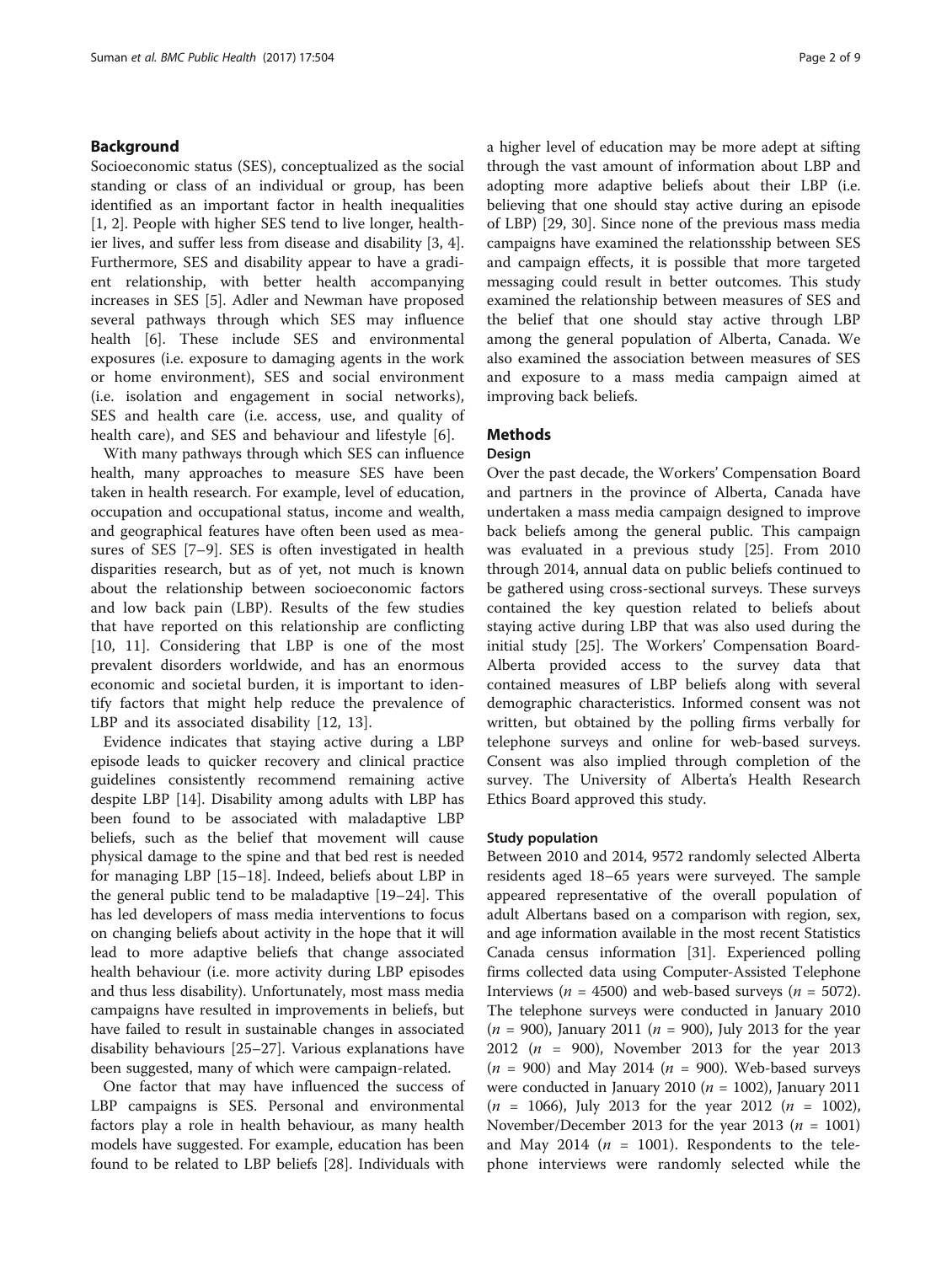# Background

Socioeconomic status (SES), conceptualized as the social standing or class of an individual or group, has been identified as an important factor in health inequalities [[1, 2\]](#page-8-0). People with higher SES tend to live longer, healthier lives, and suffer less from disease and disability [\[3](#page-8-0), [4](#page-8-0)]. Furthermore, SES and disability appear to have a gradient relationship, with better health accompanying increases in SES [\[5](#page-8-0)]. Adler and Newman have proposed several pathways through which SES may influence health [[6](#page-8-0)]. These include SES and environmental exposures (i.e. exposure to damaging agents in the work or home environment), SES and social environment (i.e. isolation and engagement in social networks), SES and health care (i.e. access, use, and quality of health care), and SES and behaviour and lifestyle [\[6](#page-8-0)].

With many pathways through which SES can influence health, many approaches to measure SES have been taken in health research. For example, level of education, occupation and occupational status, income and wealth, and geographical features have often been used as measures of SES [\[7](#page-8-0)–[9\]](#page-8-0). SES is often investigated in health disparities research, but as of yet, not much is known about the relationship between socioeconomic factors and low back pain (LBP). Results of the few studies that have reported on this relationship are conflicting [[10, 11](#page-8-0)]. Considering that LBP is one of the most prevalent disorders worldwide, and has an enormous economic and societal burden, it is important to identify factors that might help reduce the prevalence of LBP and its associated disability [\[12](#page-8-0), [13](#page-8-0)].

Evidence indicates that staying active during a LBP episode leads to quicker recovery and clinical practice guidelines consistently recommend remaining active despite LBP [\[14\]](#page-8-0). Disability among adults with LBP has been found to be associated with maladaptive LBP beliefs, such as the belief that movement will cause physical damage to the spine and that bed rest is needed for managing LBP [[15](#page-8-0)–[18](#page-8-0)]. Indeed, beliefs about LBP in the general public tend to be maladaptive [[19](#page-8-0)–[24](#page-8-0)]. This has led developers of mass media interventions to focus on changing beliefs about activity in the hope that it will lead to more adaptive beliefs that change associated health behaviour (i.e. more activity during LBP episodes and thus less disability). Unfortunately, most mass media campaigns have resulted in improvements in beliefs, but have failed to result in sustainable changes in associated disability behaviours [[25](#page-8-0)–[27](#page-8-0)]. Various explanations have been suggested, many of which were campaign-related.

One factor that may have influenced the success of LBP campaigns is SES. Personal and environmental factors play a role in health behaviour, as many health models have suggested. For example, education has been found to be related to LBP beliefs [[28](#page-8-0)]. Individuals with

a higher level of education may be more adept at sifting through the vast amount of information about LBP and adopting more adaptive beliefs about their LBP (i.e. believing that one should stay active during an episode of LBP) [\[29](#page-8-0), [30\]](#page-8-0). Since none of the previous mass media campaigns have examined the relationsship between SES and campaign effects, it is possible that more targeted messaging could result in better outcomes. This study examined the relationship between measures of SES and the belief that one should stay active through LBP among the general population of Alberta, Canada. We also examined the association between measures of SES and exposure to a mass media campaign aimed at improving back beliefs.

# **Methods**

# Design

Over the past decade, the Workers' Compensation Board and partners in the province of Alberta, Canada have undertaken a mass media campaign designed to improve back beliefs among the general public. This campaign was evaluated in a previous study [[25\]](#page-8-0). From 2010 through 2014, annual data on public beliefs continued to be gathered using cross-sectional surveys. These surveys contained the key question related to beliefs about staying active during LBP that was also used during the initial study [[25\]](#page-8-0). The Workers' Compensation Board-Alberta provided access to the survey data that contained measures of LBP beliefs along with several demographic characteristics. Informed consent was not written, but obtained by the polling firms verbally for telephone surveys and online for web-based surveys. Consent was also implied through completion of the survey. The University of Alberta's Health Research Ethics Board approved this study.

### Study population

Between 2010 and 2014, 9572 randomly selected Alberta residents aged 18–65 years were surveyed. The sample appeared representative of the overall population of adult Albertans based on a comparison with region, sex, and age information available in the most recent Statistics Canada census information [\[31\]](#page-8-0). Experienced polling firms collected data using Computer-Assisted Telephone Interviews ( $n = 4500$ ) and web-based surveys ( $n = 5072$ ). The telephone surveys were conducted in January 2010  $(n = 900)$ , January 2011  $(n = 900)$ , July 2013 for the year 2012 ( $n = 900$ ), November 2013 for the year 2013  $(n = 900)$  and May 2014  $(n = 900)$ . Web-based surveys were conducted in January 2010 ( $n = 1002$ ), January 2011  $(n = 1066)$ , July 2013 for the year 2012  $(n = 1002)$ , November/December 2013 for the year 2013 ( $n = 1001$ ) and May 2014 ( $n = 1001$ ). Respondents to the telephone interviews were randomly selected while the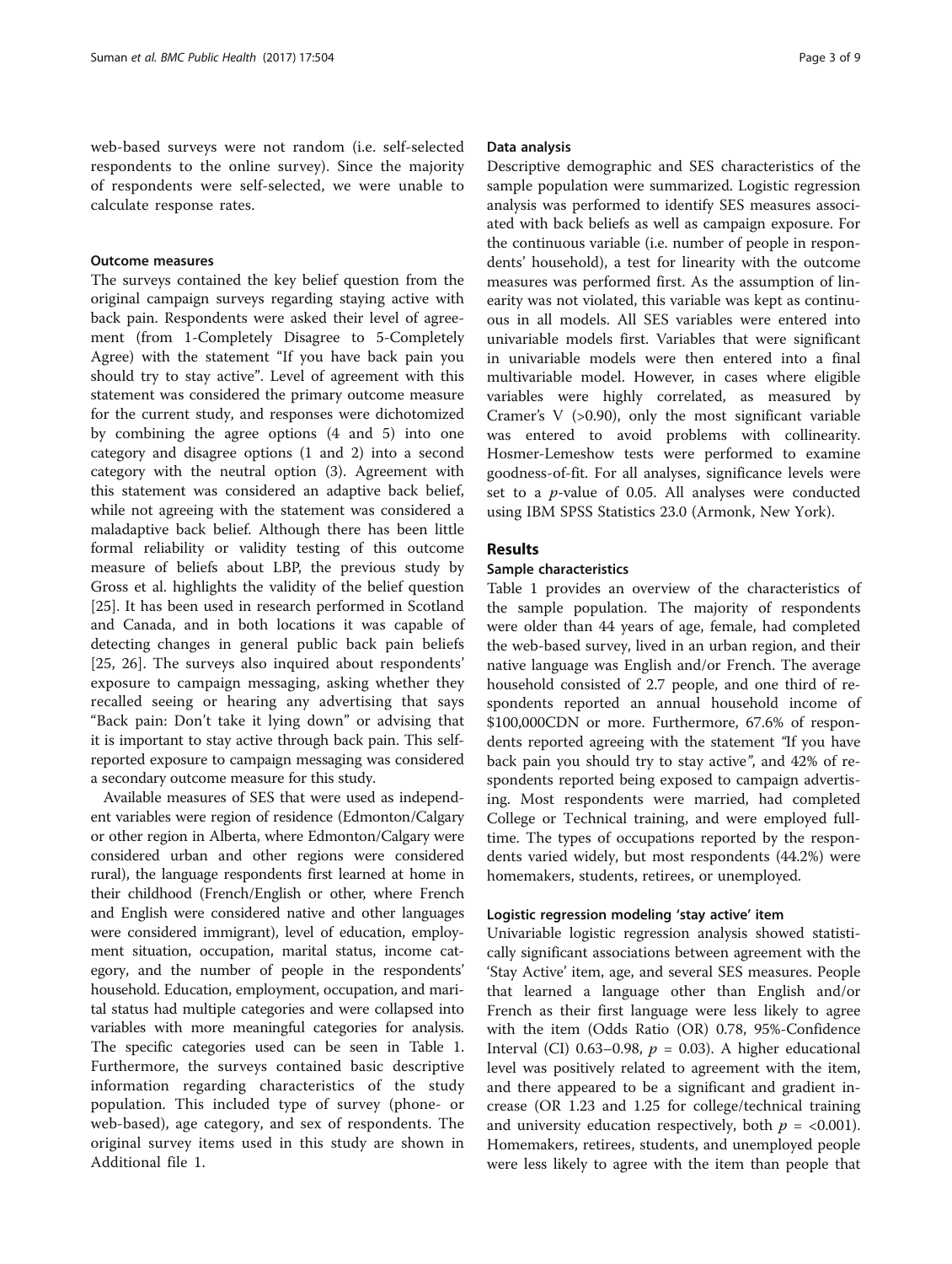web-based surveys were not random (i.e. self-selected respondents to the online survey). Since the majority of respondents were self-selected, we were unable to calculate response rates.

## Outcome measures

The surveys contained the key belief question from the original campaign surveys regarding staying active with back pain. Respondents were asked their level of agreement (from 1-Completely Disagree to 5-Completely Agree) with the statement "If you have back pain you should try to stay active". Level of agreement with this statement was considered the primary outcome measure for the current study, and responses were dichotomized by combining the agree options (4 and 5) into one category and disagree options (1 and 2) into a second category with the neutral option (3). Agreement with this statement was considered an adaptive back belief, while not agreeing with the statement was considered a maladaptive back belief. Although there has been little formal reliability or validity testing of this outcome measure of beliefs about LBP, the previous study by Gross et al. highlights the validity of the belief question [[25\]](#page-8-0). It has been used in research performed in Scotland and Canada, and in both locations it was capable of detecting changes in general public back pain beliefs [[25, 26](#page-8-0)]. The surveys also inquired about respondents' exposure to campaign messaging, asking whether they recalled seeing or hearing any advertising that says "Back pain: Don't take it lying down" or advising that it is important to stay active through back pain. This selfreported exposure to campaign messaging was considered a secondary outcome measure for this study.

Available measures of SES that were used as independent variables were region of residence (Edmonton/Calgary or other region in Alberta, where Edmonton/Calgary were considered urban and other regions were considered rural), the language respondents first learned at home in their childhood (French/English or other, where French and English were considered native and other languages were considered immigrant), level of education, employment situation, occupation, marital status, income category, and the number of people in the respondents' household. Education, employment, occupation, and marital status had multiple categories and were collapsed into variables with more meaningful categories for analysis. The specific categories used can be seen in Table [1](#page-3-0). Furthermore, the surveys contained basic descriptive information regarding characteristics of the study population. This included type of survey (phone- or web-based), age category, and sex of respondents. The original survey items used in this study are shown in Additional file [1](#page-7-0).

### Data analysis

Descriptive demographic and SES characteristics of the sample population were summarized. Logistic regression analysis was performed to identify SES measures associated with back beliefs as well as campaign exposure. For the continuous variable (i.e. number of people in respondents' household), a test for linearity with the outcome measures was performed first. As the assumption of linearity was not violated, this variable was kept as continuous in all models. All SES variables were entered into univariable models first. Variables that were significant in univariable models were then entered into a final multivariable model. However, in cases where eligible variables were highly correlated, as measured by Cramer's  $V$  (>0.90), only the most significant variable was entered to avoid problems with collinearity. Hosmer-Lemeshow tests were performed to examine goodness-of-fit. For all analyses, significance levels were set to a  $p$ -value of 0.05. All analyses were conducted using IBM SPSS Statistics 23.0 (Armonk, New York).

# Results

## Sample characteristics

Table [1](#page-3-0) provides an overview of the characteristics of the sample population. The majority of respondents were older than 44 years of age, female, had completed the web-based survey, lived in an urban region, and their native language was English and/or French. The average household consisted of 2.7 people, and one third of respondents reported an annual household income of \$100,000CDN or more. Furthermore, 67.6% of respondents reported agreeing with the statement "If you have back pain you should try to stay active", and 42% of respondents reported being exposed to campaign advertising. Most respondents were married, had completed College or Technical training, and were employed fulltime. The types of occupations reported by the respondents varied widely, but most respondents (44.2%) were homemakers, students, retirees, or unemployed.

# Logistic regression modeling 'stay active' item

Univariable logistic regression analysis showed statistically significant associations between agreement with the 'Stay Active' item, age, and several SES measures. People that learned a language other than English and/or French as their first language were less likely to agree with the item (Odds Ratio (OR) 0.78, 95%-Confidence Interval (CI) 0.63–0.98,  $p = 0.03$ ). A higher educational level was positively related to agreement with the item, and there appeared to be a significant and gradient increase (OR 1.23 and 1.25 for college/technical training and university education respectively, both  $p = <0.001$ ). Homemakers, retirees, students, and unemployed people were less likely to agree with the item than people that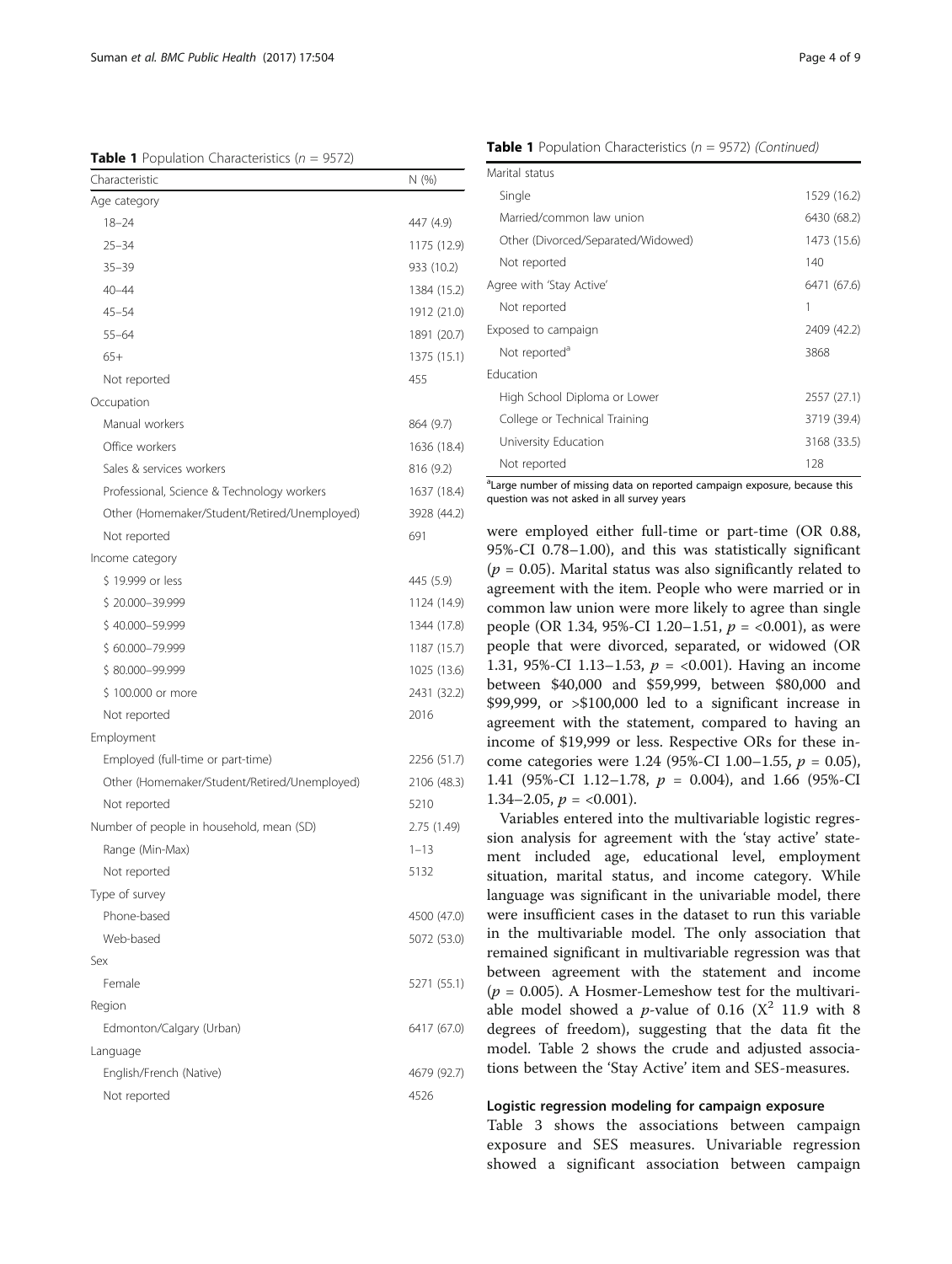<span id="page-3-0"></span>**Table 1** Population Characteristics  $(n = 9572)$ 

| Characteristic                               | N (%)       |
|----------------------------------------------|-------------|
| Age category                                 |             |
| $18 - 24$                                    | 447 (4.9)   |
| $25 - 34$                                    | 1175 (12.9) |
| $35 - 39$                                    | 933 (10.2)  |
| $40 - 44$                                    | 1384 (15.2) |
| 45–54                                        | 1912 (21.0) |
| $55 - 64$                                    | 1891 (20.7) |
| $65+$                                        | 1375 (15.1) |
| Not reported                                 | 455         |
| Occupation                                   |             |
| Manual workers                               | 864 (9.7)   |
| Office workers                               | 1636 (18.4) |
| Sales & services workers                     | 816 (9.2)   |
| Professional, Science & Technology workers   | 1637 (18.4) |
| Other (Homemaker/Student/Retired/Unemployed) | 3928 (44.2) |
| Not reported                                 | 691         |
| Income category                              |             |
| \$19.999 or less                             | 445 (5.9)   |
| \$20.000-39.999                              | 1124 (14.9) |
| \$40.000-59.999                              | 1344 (17.8) |
| \$60.000-79.999                              | 1187 (15.7) |
| \$80.000-99.999                              | 1025 (13.6) |
| \$100.000 or more                            | 2431 (32.2) |
| Not reported                                 | 2016        |
| Employment                                   |             |
| Employed (full-time or part-time)            | 2256 (51.7) |
| Other (Homemaker/Student/Retired/Unemployed) | 2106 (48.3) |
| Not reported                                 | 5210        |
| Number of people in household, mean (SD)     | 2.75 (1.49) |
| Range (Min-Max)                              | $1 - 13$    |
| Not reported                                 | 5132        |
| Type of survey                               |             |
| Phone-based                                  | 4500 (47.0) |
| Web-based                                    | 5072 (53.0) |
| Sex                                          |             |
| Female                                       | 5271 (55.1) |
| Region                                       |             |
| Edmonton/Calgary (Urban)                     | 6417 (67.0) |
| Language                                     |             |
| English/French (Native)                      | 4679 (92.7) |
| Not reported                                 | 4526        |
|                                              |             |

**Table 1** Population Characteristics ( $n = 9572$ ) (Continued)

| Marital status                     |             |
|------------------------------------|-------------|
| Single                             | 1529 (16.2) |
| Married/common law union           | 6430 (68.2) |
| Other (Divorced/Separated/Widowed) | 1473 (15.6) |
| Not reported                       | 140         |
| Agree with 'Stay Active'           | 6471 (67.6) |
| Not reported                       | 1           |
| Exposed to campaign                | 2409 (42.2) |
| Not reported <sup>®</sup>          | 3868        |
| <b>Education</b>                   |             |
| High School Diploma or Lower       | 2557 (27.1) |
| College or Technical Training      | 3719 (39.4) |
| University Education               | 3168 (33.5) |
| Not reported                       | 128         |
|                                    |             |

<sup>a</sup>Large number of missing data on reported campaign exposure, because this question was not asked in all survey years

were employed either full-time or part-time (OR 0.88, 95%-CI 0.78–1.00), and this was statistically significant ( $p = 0.05$ ). Marital status was also significantly related to agreement with the item. People who were married or in common law union were more likely to agree than single people (OR 1.34, 95%-CI 1.20–1.51,  $p = <0.001$ ), as were people that were divorced, separated, or widowed (OR 1.31, 95%-CI 1.13–1.53,  $p = \langle 0.001 \rangle$ . Having an income between \$40,000 and \$59,999, between \$80,000 and \$99,999, or >\$100,000 led to a significant increase in agreement with the statement, compared to having an income of \$19,999 or less. Respective ORs for these income categories were 1.24 (95%-CI 1.00–1.55,  $p = 0.05$ ), 1.41 (95%-CI 1.12–1.78,  $p = 0.004$ ), and 1.66 (95%-CI 1.34–2.05,  $p = 0.001$ .

Variables entered into the multivariable logistic regression analysis for agreement with the 'stay active' statement included age, educational level, employment situation, marital status, and income category. While language was significant in the univariable model, there were insufficient cases in the dataset to run this variable in the multivariable model. The only association that remained significant in multivariable regression was that between agreement with the statement and income  $(p = 0.005)$ . A Hosmer-Lemeshow test for the multivariable model showed a p-value of 0.16 ( $X^2$  11.9 with 8 degrees of freedom), suggesting that the data fit the model. Table [2](#page-4-0) shows the crude and adjusted associations between the 'Stay Active' item and SES-measures.

## Logistic regression modeling for campaign exposure

Table [3](#page-5-0) shows the associations between campaign exposure and SES measures. Univariable regression showed a significant association between campaign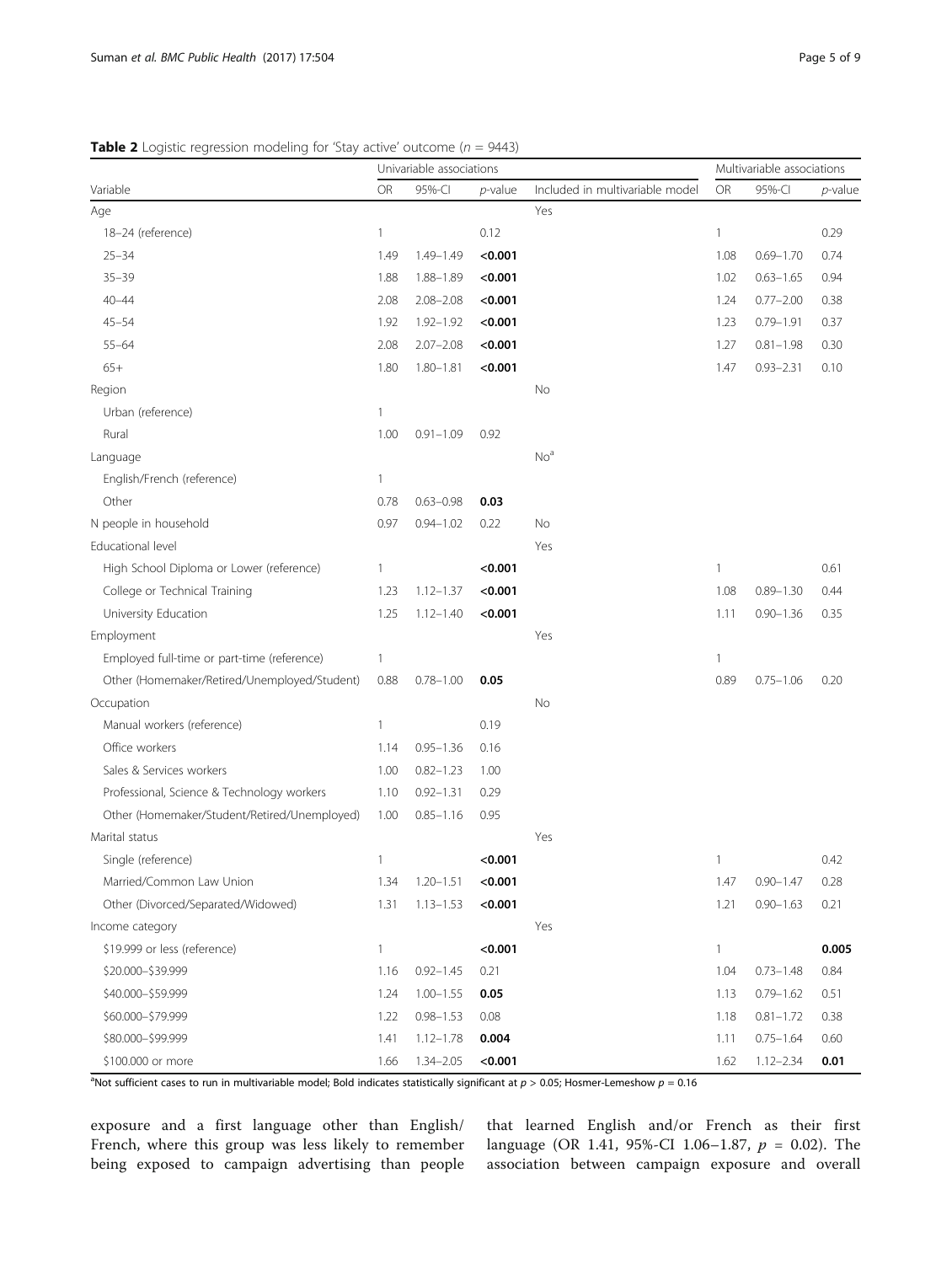<span id="page-4-0"></span>

| Variable                                     | Univariable associations |               |            |                                 | Multivariable associations |               |                 |
|----------------------------------------------|--------------------------|---------------|------------|---------------------------------|----------------------------|---------------|-----------------|
|                                              | OR                       | 95%-CI        | $p$ -value | Included in multivariable model | OR                         | 95%-CI        | <i>p</i> -value |
| Age                                          |                          |               |            | Yes                             |                            |               |                 |
| 18-24 (reference)                            | 1                        |               | 0.12       |                                 | $\mathbf{1}$               |               | 0.29            |
| $25 - 34$                                    | 1.49                     | $1.49 - 1.49$ | < 0.001    |                                 | 1.08                       | $0.69 - 1.70$ | 0.74            |
| $35 - 39$                                    | 1.88                     | $1.88 - 1.89$ | < 0.001    |                                 | 1.02                       | $0.63 - 1.65$ | 0.94            |
| $40 - 44$                                    | 2.08                     | $2.08 - 2.08$ | < 0.001    |                                 | 1.24                       | $0.77 - 2.00$ | 0.38            |
| $45 - 54$                                    | 1.92                     | $1.92 - 1.92$ | < 0.001    |                                 | 1.23                       | $0.79 - 1.91$ | 0.37            |
| $55 - 64$                                    | 2.08                     | $2.07 - 2.08$ | < 0.001    |                                 | 1.27                       | $0.81 - 1.98$ | 0.30            |
| $65+$                                        | 1.80                     | $1.80 - 1.81$ | < 0.001    |                                 | 1.47                       | $0.93 - 2.31$ | 0.10            |
| Region                                       |                          |               |            | No                              |                            |               |                 |
| Urban (reference)                            | 1                        |               |            |                                 |                            |               |                 |
| Rural                                        | 1.00                     | $0.91 - 1.09$ | 0.92       |                                 |                            |               |                 |
| Language                                     |                          |               |            | No <sup>a</sup>                 |                            |               |                 |
| English/French (reference)                   | 1                        |               |            |                                 |                            |               |                 |
| Other                                        | 0.78                     | $0.63 - 0.98$ | 0.03       |                                 |                            |               |                 |
| N people in household                        | 0.97                     | $0.94 - 1.02$ | 0.22       | No                              |                            |               |                 |
| Educational level                            |                          |               |            | Yes                             |                            |               |                 |
| High School Diploma or Lower (reference)     | 1                        |               | < 0.001    |                                 | 1                          |               | 0.61            |
| College or Technical Training                | 1.23                     | $1.12 - 1.37$ | < 0.001    |                                 | 1.08                       | $0.89 - 1.30$ | 0.44            |
| University Education                         | 1.25                     | $1.12 - 1.40$ | < 0.001    |                                 | 1.11                       | $0.90 - 1.36$ | 0.35            |
| Employment                                   |                          |               |            | Yes                             |                            |               |                 |
| Employed full-time or part-time (reference)  | 1                        |               |            |                                 | 1                          |               |                 |
| Other (Homemaker/Retired/Unemployed/Student) | 0.88                     | $0.78 - 1.00$ | 0.05       |                                 | 0.89                       | $0.75 - 1.06$ | 0.20            |
| Occupation                                   |                          |               |            | No                              |                            |               |                 |
| Manual workers (reference)                   | 1                        |               | 0.19       |                                 |                            |               |                 |
| Office workers                               | 1.14                     | $0.95 - 1.36$ | 0.16       |                                 |                            |               |                 |
| Sales & Services workers                     | 1.00                     | $0.82 - 1.23$ | 1.00       |                                 |                            |               |                 |
| Professional, Science & Technology workers   | 1.10                     | $0.92 - 1.31$ | 0.29       |                                 |                            |               |                 |
| Other (Homemaker/Student/Retired/Unemployed) | 1.00                     | $0.85 - 1.16$ | 0.95       |                                 |                            |               |                 |
| Marital status                               |                          |               |            | Yes                             |                            |               |                 |
| Single (reference)                           | 1                        |               | < 0.001    |                                 | 1                          |               | 0.42            |
| Married/Common Law Union                     | 1.34                     | $1.20 - 1.51$ | < 0.001    |                                 | 1.47                       | $0.90 - 1.47$ | 0.28            |
| Other (Divorced/Separated/Widowed)           | 1.31                     | $1.13 - 1.53$ | < 0.001    |                                 | 1.21                       | $0.90 - 1.63$ | 0.21            |
| Income category                              |                          |               |            | Yes                             |                            |               |                 |
| \$19.999 or less (reference)                 | 1                        |               | < 0.001    |                                 | 1                          |               | 0.005           |
| \$20.000-\$39.999                            | 1.16                     | $0.92 - 1.45$ | 0.21       |                                 | 1.04                       | $0.73 - 1.48$ | 0.84            |
| \$40.000-\$59.999                            | 1.24                     | $1.00 - 1.55$ | 0.05       |                                 | 1.13                       | $0.79 - 1.62$ | 0.51            |
| \$60.000-\$79.999                            | 1.22                     | $0.98 - 1.53$ | 0.08       |                                 | 1.18                       | $0.81 - 1.72$ | 0.38            |
| \$80,000-\$99.999                            | 1.41                     | $1.12 - 1.78$ | 0.004      |                                 | 1.11                       | $0.75 - 1.64$ | 0.60            |
| \$100.000 or more                            | 1.66                     | $1.34 - 2.05$ | < 0.001    |                                 | 1.62                       | $1.12 - 2.34$ | 0.01            |

<sup>a</sup>Not sufficient cases to run in multivariable model; Bold indicates statistically significant at  $p > 0.05$ ; Hosmer-Lemeshow  $p = 0.16$ 

exposure and a first language other than English/ French, where this group was less likely to remember being exposed to campaign advertising than people

that learned English and/or French as their first language (OR 1.41, 95%-CI 1.06-1.87,  $p = 0.02$ ). The association between campaign exposure and overall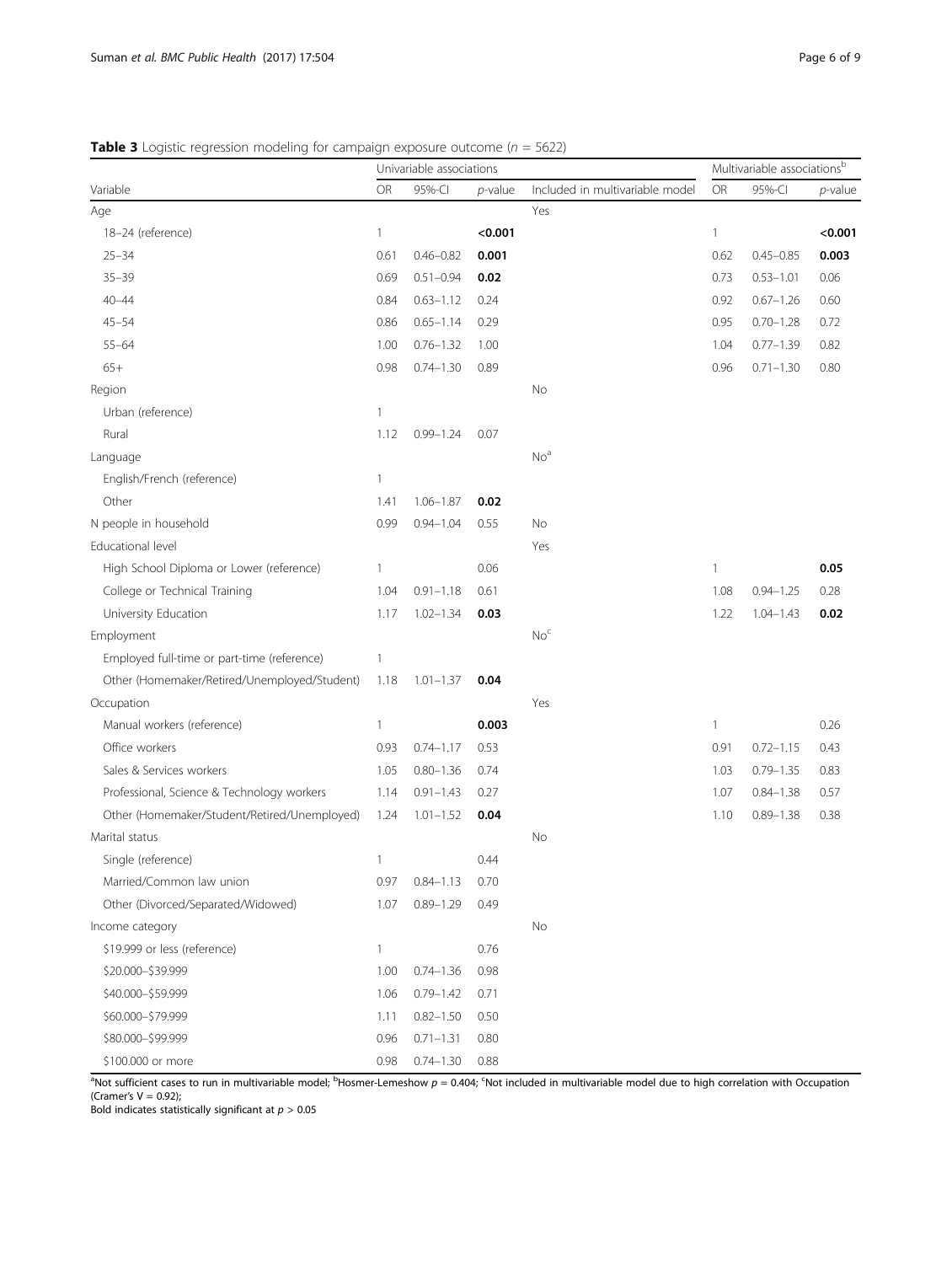# <span id="page-5-0"></span>**Table 3** Logistic regression modeling for campaign exposure outcome ( $n = 5622$ )

| Variable                                     | Univariable associations |               |            |                                 | Multivariable associationsb |               |         |  |
|----------------------------------------------|--------------------------|---------------|------------|---------------------------------|-----------------------------|---------------|---------|--|
|                                              | OR                       | 95%-CI        | $p$ -value | Included in multivariable model | OR                          | 95%-CI        | p-value |  |
| Age                                          |                          |               |            | Yes                             |                             |               |         |  |
| 18-24 (reference)                            | 1                        |               | < 0.001    |                                 | $\mathbf{1}$                |               | < 0.001 |  |
| $25 - 34$                                    | 0.61                     | $0.46 - 0.82$ | 0.001      |                                 | 0.62                        | $0.45 - 0.85$ | 0.003   |  |
| $35 - 39$                                    | 0.69                     | $0.51 - 0.94$ | 0.02       |                                 | 0.73                        | $0.53 - 1.01$ | 0.06    |  |
| $40 - 44$                                    | 0.84                     | $0.63 - 1.12$ | 0.24       |                                 | 0.92                        | $0.67 - 1.26$ | 0.60    |  |
| $45 - 54$                                    | 0.86                     | $0.65 - 1.14$ | 0.29       |                                 | 0.95                        | $0.70 - 1.28$ | 0.72    |  |
| $55 - 64$                                    | 1.00                     | $0.76 - 1.32$ | 1.00       |                                 | 1.04                        | $0.77 - 1.39$ | 0.82    |  |
| $65+$                                        | 0.98                     | $0.74 - 1.30$ | 0.89       |                                 | 0.96                        | $0.71 - 1.30$ | 0.80    |  |
| Region                                       |                          |               |            | No                              |                             |               |         |  |
| Urban (reference)                            | 1                        |               |            |                                 |                             |               |         |  |
| Rural                                        | 1.12                     | $0.99 - 1.24$ | 0.07       |                                 |                             |               |         |  |
| Language                                     |                          |               |            | No <sup>a</sup>                 |                             |               |         |  |
| English/French (reference)                   | $\mathbf{1}$             |               |            |                                 |                             |               |         |  |
| Other                                        | 1.41                     | $1.06 - 1.87$ | 0.02       |                                 |                             |               |         |  |
| N people in household                        | 0.99                     | $0.94 - 1.04$ | 0.55       | No                              |                             |               |         |  |
| Educational level                            |                          |               |            | Yes                             |                             |               |         |  |
| High School Diploma or Lower (reference)     | $\mathbf{1}$             |               | 0.06       |                                 | $\mathbf{1}$                |               | 0.05    |  |
| College or Technical Training                | 1.04                     | $0.91 - 1.18$ | 0.61       |                                 | 1.08                        | $0.94 - 1.25$ | 0.28    |  |
| University Education                         | 1.17                     | $1.02 - 1.34$ | 0.03       |                                 | 1.22                        | $1.04 - 1.43$ | 0.02    |  |
| Employment                                   |                          |               |            | No <sup>c</sup>                 |                             |               |         |  |
| Employed full-time or part-time (reference)  | 1                        |               |            |                                 |                             |               |         |  |
| Other (Homemaker/Retired/Unemployed/Student) | 1.18                     | $1.01 - 1.37$ | 0.04       |                                 |                             |               |         |  |
| Occupation                                   |                          |               |            | Yes                             |                             |               |         |  |
| Manual workers (reference)                   | 1                        |               | 0.003      |                                 | $\overline{\phantom{a}}$    |               | 0.26    |  |
| Office workers                               | 0.93                     | $0.74 - 1.17$ | 0.53       |                                 | 0.91                        | $0.72 - 1.15$ | 0.43    |  |
| Sales & Services workers                     | 1.05                     | $0.80 - 1.36$ | 0.74       |                                 | 1.03                        | $0.79 - 1.35$ | 0.83    |  |
| Professional, Science & Technology workers   | 1.14                     | $0.91 - 1.43$ | 0.27       |                                 | 1.07                        | $0.84 - 1.38$ | 0.57    |  |
| Other (Homemaker/Student/Retired/Unemployed) | 1.24                     | $1.01 - 1.52$ | 0.04       |                                 | 1.10                        | $0.89 - 1.38$ | 0.38    |  |
| Marital status                               |                          |               |            | No                              |                             |               |         |  |
| Single (reference)                           | 1                        |               | 0.44       |                                 |                             |               |         |  |
| Married/Common law union                     | 0.97                     | $0.84 - 1.13$ | 0.70       |                                 |                             |               |         |  |
| Other (Divorced/Separated/Widowed)           | 1.07                     | $0.89 - 1.29$ | 0.49       |                                 |                             |               |         |  |
| Income category                              |                          |               |            | No                              |                             |               |         |  |
| \$19.999 or less (reference)                 | 1                        |               | 0.76       |                                 |                             |               |         |  |
| \$20.000-\$39.999                            | 1.00                     | $0.74 - 1.36$ | 0.98       |                                 |                             |               |         |  |
| \$40.000-\$59.999                            | 1.06                     | $0.79 - 1.42$ | 0.71       |                                 |                             |               |         |  |
| \$60.000-\$79.999                            | 1.11                     | $0.82 - 1.50$ | 0.50       |                                 |                             |               |         |  |
| \$80.000-\$99.999                            | 0.96                     | $0.71 - 1.31$ | 0.80       |                                 |                             |               |         |  |
| \$100.000 or more                            | 0.98                     | $0.74 - 1.30$ | 0.88       |                                 |                             |               |         |  |

<sup>a</sup>Not sufficient cases to run in multivariable model; <sup>b</sup>Hosmer-Lemeshow  $p = 0.404$ ; <sup>c</sup>Not included in multivariable model due to high correlation with Occupation (Cramer's  $V = 0.92$ );

Bold indicates statistically significant at  $p > 0.05$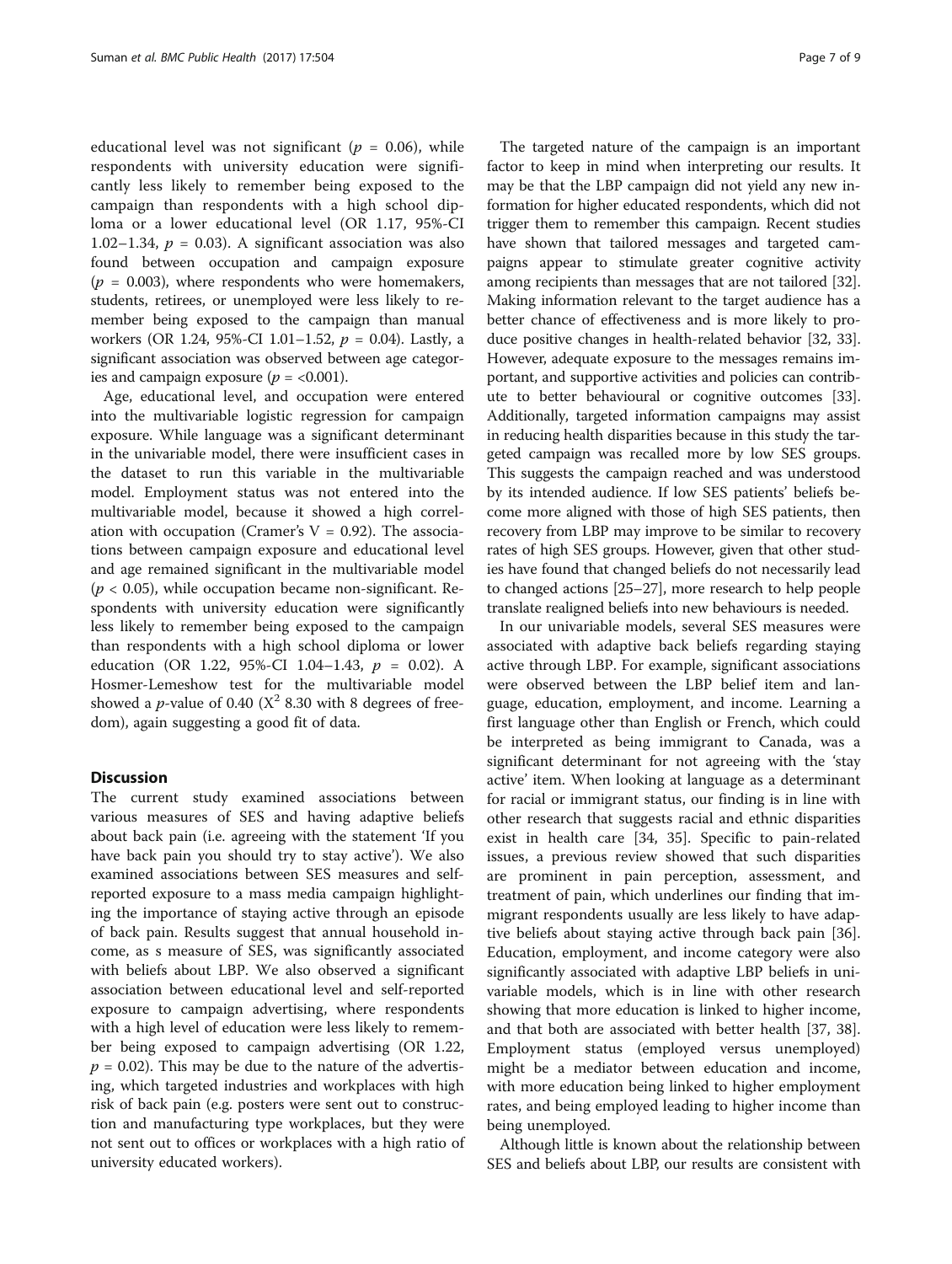educational level was not significant ( $p = 0.06$ ), while respondents with university education were significantly less likely to remember being exposed to the campaign than respondents with a high school diploma or a lower educational level (OR 1.17, 95%-CI 1.02–1.34,  $p = 0.03$ ). A significant association was also found between occupation and campaign exposure  $(p = 0.003)$ , where respondents who were homemakers, students, retirees, or unemployed were less likely to remember being exposed to the campaign than manual workers (OR 1.24, 95%-CI 1.01-1.52,  $p = 0.04$ ). Lastly, a significant association was observed between age categories and campaign exposure ( $p = <0.001$ ).

Age, educational level, and occupation were entered into the multivariable logistic regression for campaign exposure. While language was a significant determinant in the univariable model, there were insufficient cases in the dataset to run this variable in the multivariable model. Employment status was not entered into the multivariable model, because it showed a high correlation with occupation (Cramer's  $V = 0.92$ ). The associations between campaign exposure and educational level and age remained significant in the multivariable model  $(p < 0.05)$ , while occupation became non-significant. Respondents with university education were significantly less likely to remember being exposed to the campaign than respondents with a high school diploma or lower education (OR 1.22, 95%-CI 1.04-1.43,  $p = 0.02$ ). A Hosmer-Lemeshow test for the multivariable model showed a *p*-value of 0.40 ( $X^2$  8.30 with 8 degrees of freedom), again suggesting a good fit of data.

# **Discussion**

The current study examined associations between various measures of SES and having adaptive beliefs about back pain (i.e. agreeing with the statement 'If you have back pain you should try to stay active'). We also examined associations between SES measures and selfreported exposure to a mass media campaign highlighting the importance of staying active through an episode of back pain. Results suggest that annual household income, as s measure of SES, was significantly associated with beliefs about LBP. We also observed a significant association between educational level and self-reported exposure to campaign advertising, where respondents with a high level of education were less likely to remember being exposed to campaign advertising (OR 1.22,  $p = 0.02$ ). This may be due to the nature of the advertising, which targeted industries and workplaces with high risk of back pain (e.g. posters were sent out to construction and manufacturing type workplaces, but they were not sent out to offices or workplaces with a high ratio of university educated workers).

The targeted nature of the campaign is an important factor to keep in mind when interpreting our results. It may be that the LBP campaign did not yield any new information for higher educated respondents, which did not trigger them to remember this campaign. Recent studies have shown that tailored messages and targeted campaigns appear to stimulate greater cognitive activity among recipients than messages that are not tailored [[32](#page-8-0)]. Making information relevant to the target audience has a better chance of effectiveness and is more likely to produce positive changes in health-related behavior [\[32](#page-8-0), [33](#page-8-0)]. However, adequate exposure to the messages remains important, and supportive activities and policies can contribute to better behavioural or cognitive outcomes [[33](#page-8-0)]. Additionally, targeted information campaigns may assist in reducing health disparities because in this study the targeted campaign was recalled more by low SES groups. This suggests the campaign reached and was understood by its intended audience. If low SES patients' beliefs become more aligned with those of high SES patients, then recovery from LBP may improve to be similar to recovery rates of high SES groups. However, given that other studies have found that changed beliefs do not necessarily lead to changed actions [[25](#page-8-0)–[27\]](#page-8-0), more research to help people translate realigned beliefs into new behaviours is needed.

In our univariable models, several SES measures were associated with adaptive back beliefs regarding staying active through LBP. For example, significant associations were observed between the LBP belief item and language, education, employment, and income. Learning a first language other than English or French, which could be interpreted as being immigrant to Canada, was a significant determinant for not agreeing with the 'stay active' item. When looking at language as a determinant for racial or immigrant status, our finding is in line with other research that suggests racial and ethnic disparities exist in health care [[34](#page-8-0), [35](#page-8-0)]. Specific to pain-related issues, a previous review showed that such disparities are prominent in pain perception, assessment, and treatment of pain, which underlines our finding that immigrant respondents usually are less likely to have adaptive beliefs about staying active through back pain [\[36](#page-8-0)]. Education, employment, and income category were also significantly associated with adaptive LBP beliefs in univariable models, which is in line with other research showing that more education is linked to higher income, and that both are associated with better health [[37, 38](#page-8-0)]. Employment status (employed versus unemployed) might be a mediator between education and income, with more education being linked to higher employment rates, and being employed leading to higher income than being unemployed.

Although little is known about the relationship between SES and beliefs about LBP, our results are consistent with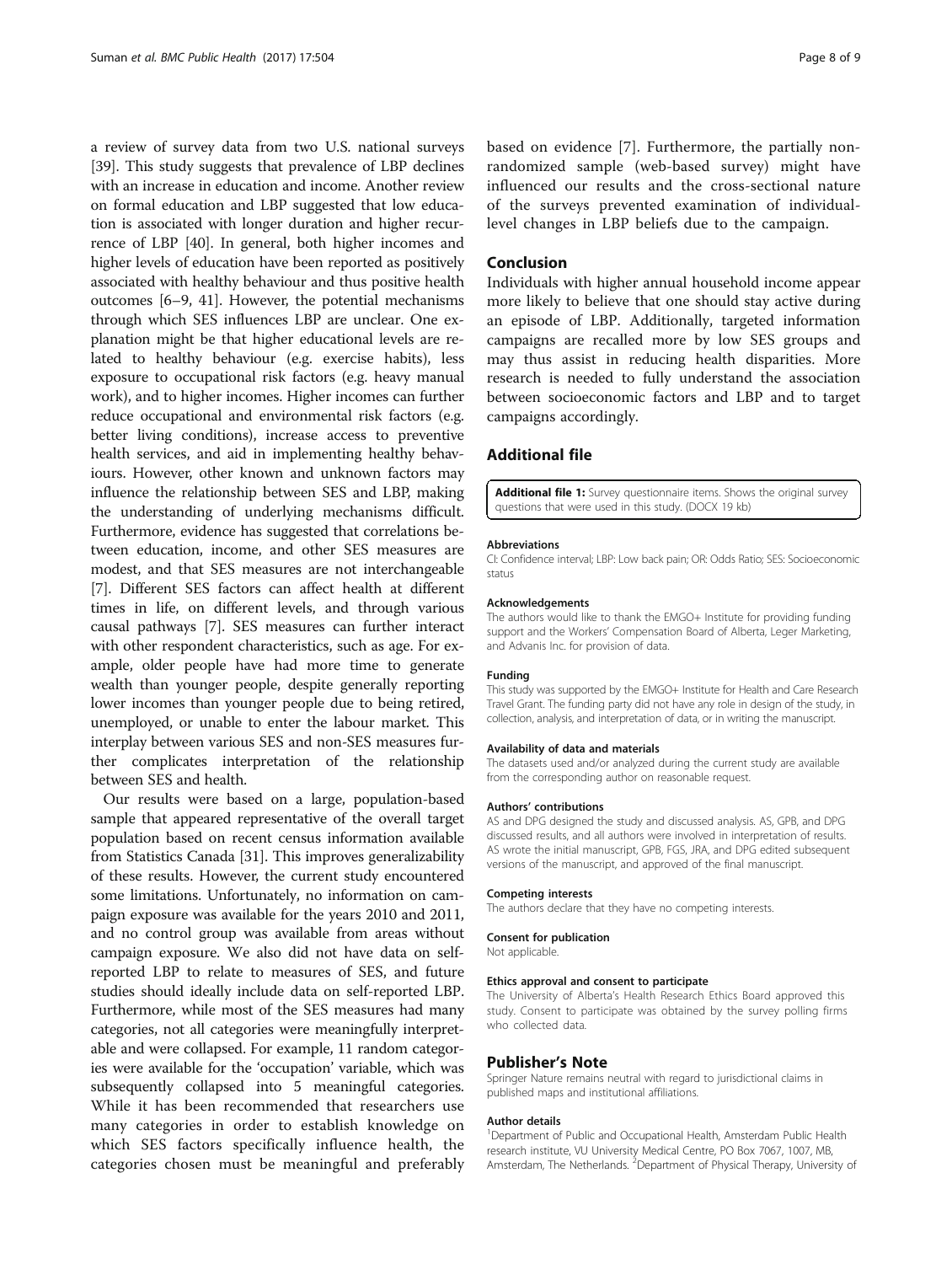<span id="page-7-0"></span>a review of survey data from two U.S. national surveys [[39](#page-8-0)]. This study suggests that prevalence of LBP declines with an increase in education and income. Another review on formal education and LBP suggested that low education is associated with longer duration and higher recurrence of LBP [[40](#page-8-0)]. In general, both higher incomes and higher levels of education have been reported as positively associated with healthy behaviour and thus positive health outcomes [[6](#page-8-0)–[9](#page-8-0), [41\]](#page-8-0). However, the potential mechanisms through which SES influences LBP are unclear. One explanation might be that higher educational levels are related to healthy behaviour (e.g. exercise habits), less exposure to occupational risk factors (e.g. heavy manual work), and to higher incomes. Higher incomes can further reduce occupational and environmental risk factors (e.g. better living conditions), increase access to preventive health services, and aid in implementing healthy behaviours. However, other known and unknown factors may influence the relationship between SES and LBP, making the understanding of underlying mechanisms difficult. Furthermore, evidence has suggested that correlations between education, income, and other SES measures are modest, and that SES measures are not interchangeable [[7\]](#page-8-0). Different SES factors can affect health at different times in life, on different levels, and through various causal pathways [[7\]](#page-8-0). SES measures can further interact with other respondent characteristics, such as age. For example, older people have had more time to generate wealth than younger people, despite generally reporting lower incomes than younger people due to being retired, unemployed, or unable to enter the labour market. This interplay between various SES and non-SES measures further complicates interpretation of the relationship between SES and health.

Our results were based on a large, population-based sample that appeared representative of the overall target population based on recent census information available from Statistics Canada [[31](#page-8-0)]. This improves generalizability of these results. However, the current study encountered some limitations. Unfortunately, no information on campaign exposure was available for the years 2010 and 2011, and no control group was available from areas without campaign exposure. We also did not have data on selfreported LBP to relate to measures of SES, and future studies should ideally include data on self-reported LBP. Furthermore, while most of the SES measures had many categories, not all categories were meaningfully interpretable and were collapsed. For example, 11 random categories were available for the 'occupation' variable, which was subsequently collapsed into 5 meaningful categories. While it has been recommended that researchers use many categories in order to establish knowledge on which SES factors specifically influence health, the categories chosen must be meaningful and preferably

based on evidence [\[7](#page-8-0)]. Furthermore, the partially nonrandomized sample (web-based survey) might have influenced our results and the cross-sectional nature of the surveys prevented examination of individuallevel changes in LBP beliefs due to the campaign.

# Conclusion

Individuals with higher annual household income appear more likely to believe that one should stay active during an episode of LBP. Additionally, targeted information campaigns are recalled more by low SES groups and may thus assist in reducing health disparities. More research is needed to fully understand the association between socioeconomic factors and LBP and to target campaigns accordingly.

# Additional file

[Additional file 1:](dx.doi.org/10.1186/s12889-017-4387-4) Survey questionnaire items. Shows the original survey questions that were used in this study. (DOCX 19 kb)

#### Abbreviations

CI: Confidence interval; LBP: Low back pain; OR: Odds Ratio; SES: Socioeconomic status

#### Acknowledgements

The authors would like to thank the EMGO+ Institute for providing funding support and the Workers' Compensation Board of Alberta, Leger Marketing, and Advanis Inc. for provision of data.

#### Funding

This study was supported by the EMGO+ Institute for Health and Care Research Travel Grant. The funding party did not have any role in design of the study, in collection, analysis, and interpretation of data, or in writing the manuscript.

#### Availability of data and materials

The datasets used and/or analyzed during the current study are available from the corresponding author on reasonable request.

#### Authors' contributions

AS and DPG designed the study and discussed analysis. AS, GPB, and DPG discussed results, and all authors were involved in interpretation of results. AS wrote the initial manuscript, GPB, FGS, JRA, and DPG edited subsequent versions of the manuscript, and approved of the final manuscript.

### Competing interests

The authors declare that they have no competing interests.

### Consent for publication

Not applicable.

### Ethics approval and consent to participate

The University of Alberta's Health Research Ethics Board approved this study. Consent to participate was obtained by the survey polling firms who collected data

### Publisher's Note

Springer Nature remains neutral with regard to jurisdictional claims in published maps and institutional affiliations.

#### Author details

<sup>1</sup>Department of Public and Occupational Health, Amsterdam Public Health research institute, VU University Medical Centre, PO Box 7067, 1007, MB, Amsterdam, The Netherlands. <sup>2</sup> Department of Physical Therapy, University of